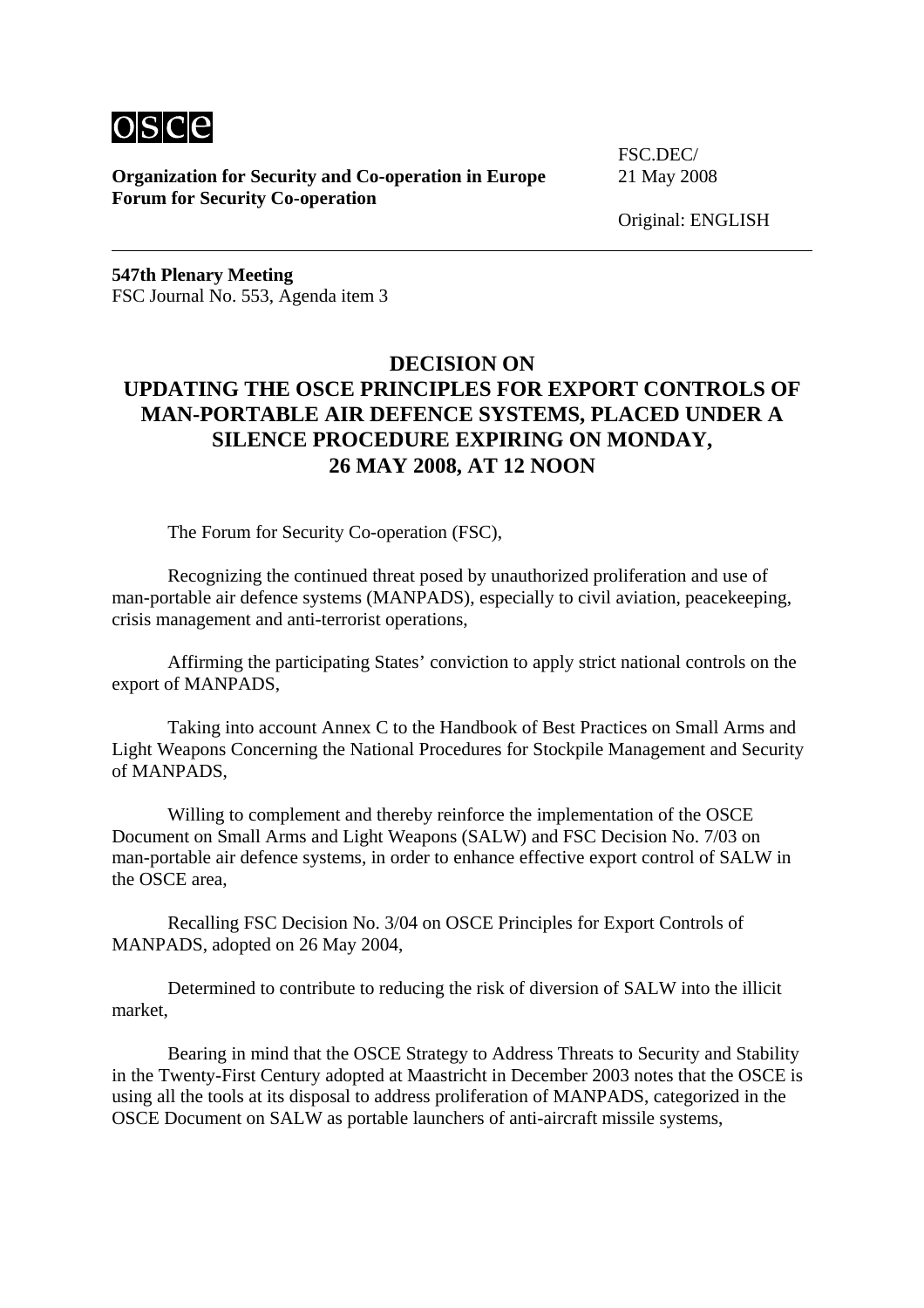

**Organization for Security and Co-operation in Europe** 21 May 2008 **Forum for Security Co-operation**

FSC.DEC/

Original: ENGLISH

**547th Plenary Meeting**  FSC Journal No. 553, Agenda item 3

## **DECISION ON UPDATING THE OSCE PRINCIPLES FOR EXPORT CONTROLS OF MAN-PORTABLE AIR DEFENCE SYSTEMS, PLACED UNDER A SILENCE PROCEDURE EXPIRING ON MONDAY, 26 MAY 2008, AT 12 NOON**

The Forum for Security Co-operation (FSC),

 Recognizing the continued threat posed by unauthorized proliferation and use of man-portable air defence systems (MANPADS), especially to civil aviation, peacekeeping, crisis management and anti-terrorist operations,

 Affirming the participating States' conviction to apply strict national controls on the export of MANPADS,

 Taking into account Annex C to the Handbook of Best Practices on Small Arms and Light Weapons Concerning the National Procedures for Stockpile Management and Security of MANPADS,

 Willing to complement and thereby reinforce the implementation of the OSCE Document on Small Arms and Light Weapons (SALW) and FSC Decision No. 7/03 on man-portable air defence systems, in order to enhance effective export control of SALW in the OSCE area,

 Recalling FSC Decision No. 3/04 on OSCE Principles for Export Controls of MANPADS, adopted on 26 May 2004,

 Determined to contribute to reducing the risk of diversion of SALW into the illicit market,

 Bearing in mind that the OSCE Strategy to Address Threats to Security and Stability in the Twenty-First Century adopted at Maastricht in December 2003 notes that the OSCE is using all the tools at its disposal to address proliferation of MANPADS, categorized in the OSCE Document on SALW as portable launchers of anti-aircraft missile systems,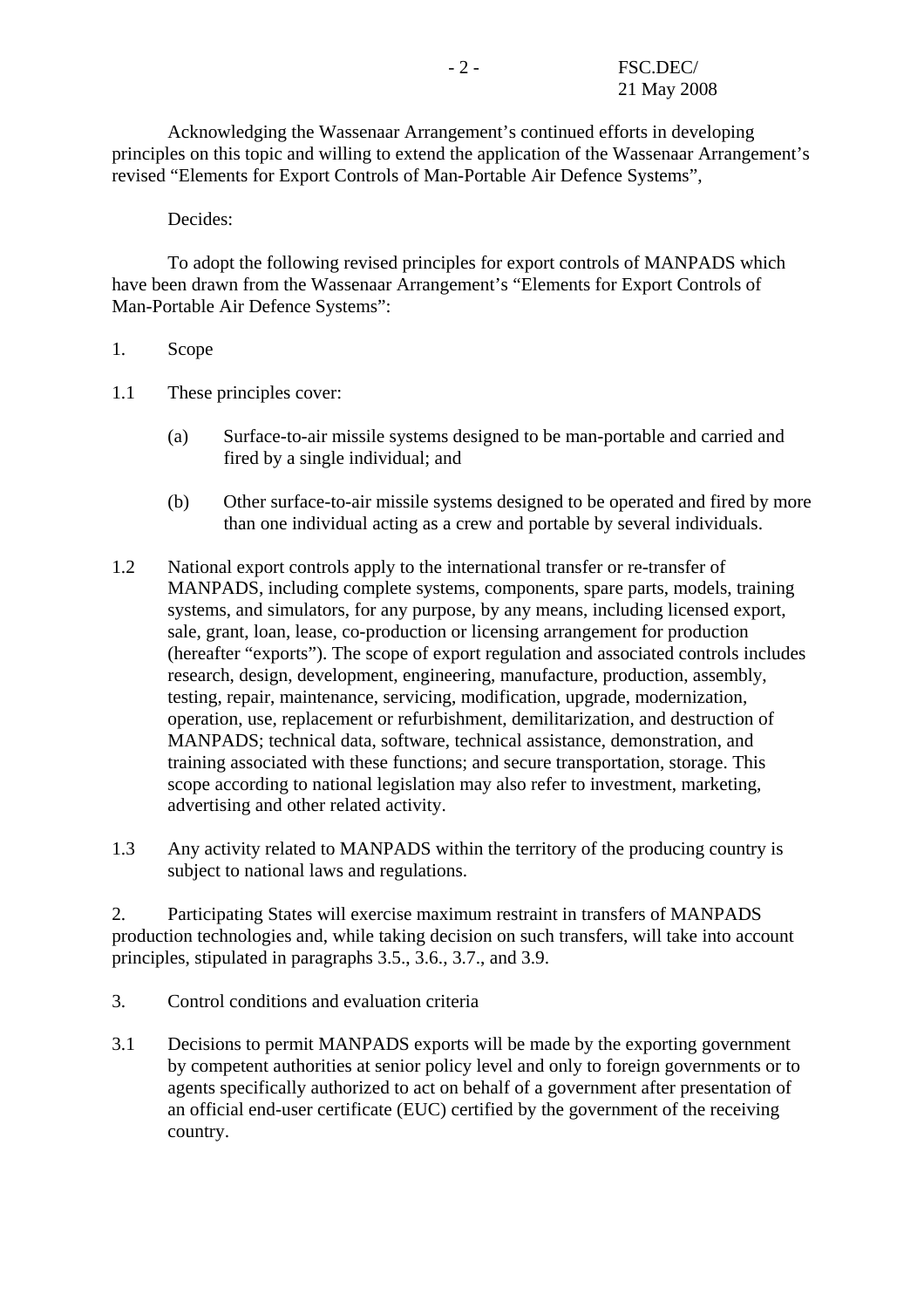Acknowledging the Wassenaar Arrangement's continued efforts in developing principles on this topic and willing to extend the application of the Wassenaar Arrangement's revised "Elements for Export Controls of Man-Portable Air Defence Systems",

Decides:

 To adopt the following revised principles for export controls of MANPADS which have been drawn from the Wassenaar Arrangement's "Elements for Export Controls of Man-Portable Air Defence Systems":

## 1. Scope

- 1.1 These principles cover:
	- (a) Surface-to-air missile systems designed to be man-portable and carried and fired by a single individual; and
	- (b) Other surface-to-air missile systems designed to be operated and fired by more than one individual acting as a crew and portable by several individuals.
- 1.2 National export controls apply to the international transfer or re-transfer of MANPADS, including complete systems, components, spare parts, models, training systems, and simulators, for any purpose, by any means, including licensed export, sale, grant, loan, lease, co-production or licensing arrangement for production (hereafter "exports"). The scope of export regulation and associated controls includes research, design, development, engineering, manufacture, production, assembly, testing, repair, maintenance, servicing, modification, upgrade, modernization, operation, use, replacement or refurbishment, demilitarization, and destruction of MANPADS; technical data, software, technical assistance, demonstration, and training associated with these functions; and secure transportation, storage. This scope according to national legislation may also refer to investment, marketing, advertising and other related activity.
- 1.3 Any activity related to MANPADS within the territory of the producing country is subject to national laws and regulations.

2. Participating States will exercise maximum restraint in transfers of MANPADS production technologies and, while taking decision on such transfers, will take into account principles, stipulated in paragraphs 3.5., 3.6., 3.7., and 3.9.

- 3. Control conditions and evaluation criteria
- 3.1 Decisions to permit MANPADS exports will be made by the exporting government by competent authorities at senior policy level and only to foreign governments or to agents specifically authorized to act on behalf of a government after presentation of an official end-user certificate (EUC) certified by the government of the receiving country.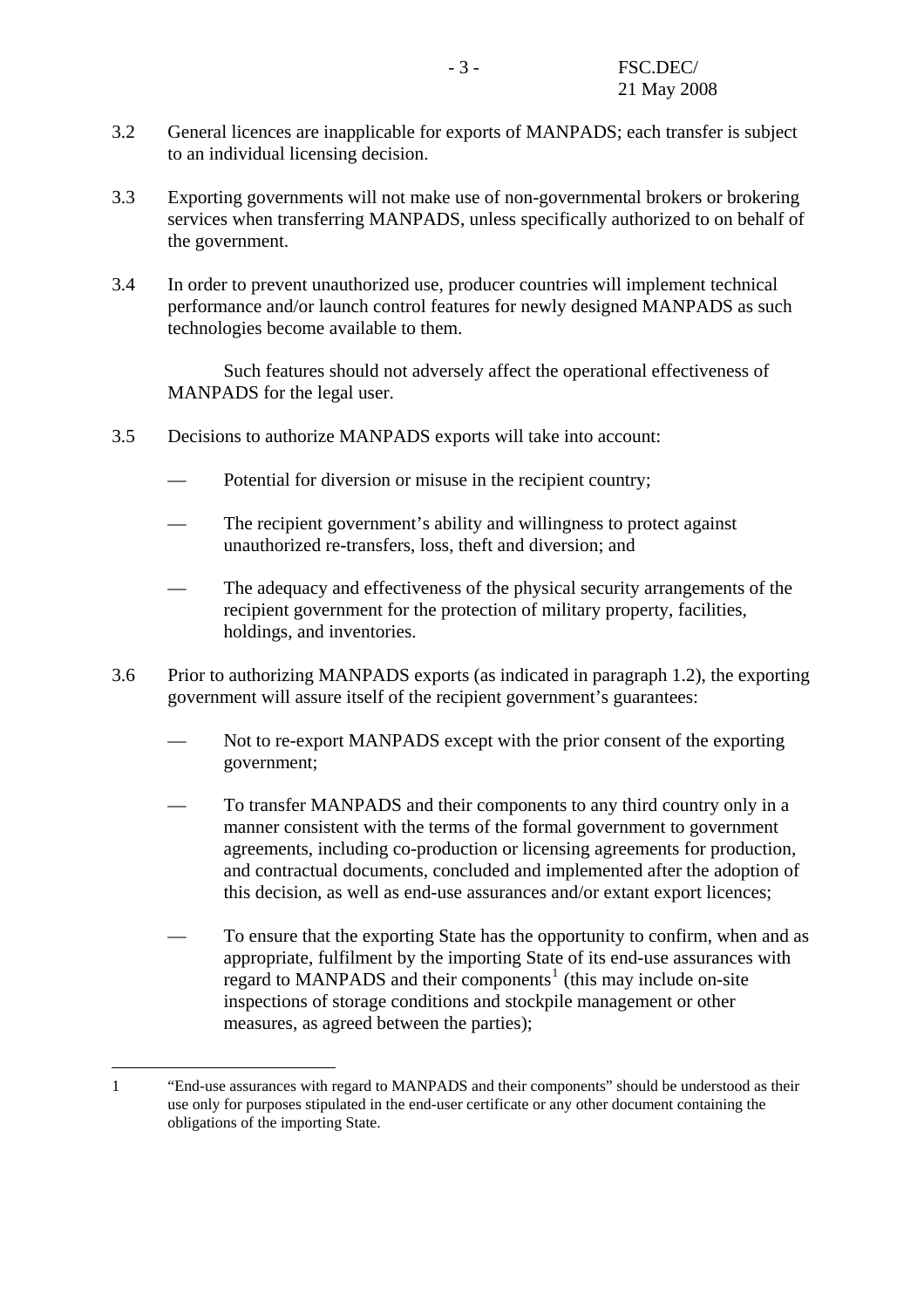- 3.2 General licences are inapplicable for exports of MANPADS; each transfer is subject to an individual licensing decision.
- 3.3 Exporting governments will not make use of non-governmental brokers or brokering services when transferring MANPADS, unless specifically authorized to on behalf of the government.
- 3.4 In order to prevent unauthorized use, producer countries will implement technical performance and/or launch control features for newly designed MANPADS as such technologies become available to them.

 Such features should not adversely affect the operational effectiveness of MANPADS for the legal user.

- 3.5 Decisions to authorize MANPADS exports will take into account:
	- Potential for diversion or misuse in the recipient country;
	- The recipient government's ability and willingness to protect against unauthorized re-transfers, loss, theft and diversion; and
	- The adequacy and effectiveness of the physical security arrangements of the recipient government for the protection of military property, facilities, holdings, and inventories.
- 3.6 Prior to authorizing MANPADS exports (as indicated in paragraph 1.2), the exporting government will assure itself of the recipient government's guarantees:
	- Not to re-export MANPADS except with the prior consent of the exporting government;
	- To transfer MANPADS and their components to any third country only in a manner consistent with the terms of the formal government to government agreements, including co-production or licensing agreements for production, and contractual documents, concluded and implemented after the adoption of this decision, as well as end-use assurances and/or extant export licences;
	- To ensure that the exporting State has the opportunity to confirm, when and as appropriate, fulfilment by the importing State of its end-use assurances with  $r_{\text{te,end}}$  to MANPADS and their components<sup>[1](#page-2-0)</sup> (this may include on-site inspections of storage conditions and stockpile management or other measures, as agreed between the parties);

 $\overline{a}$ 

<span id="page-2-0"></span><sup>1 &</sup>quot;End-use assurances with regard to MANPADS and their components" should be understood as their use only for purposes stipulated in the end-user certificate or any other document containing the obligations of the importing State.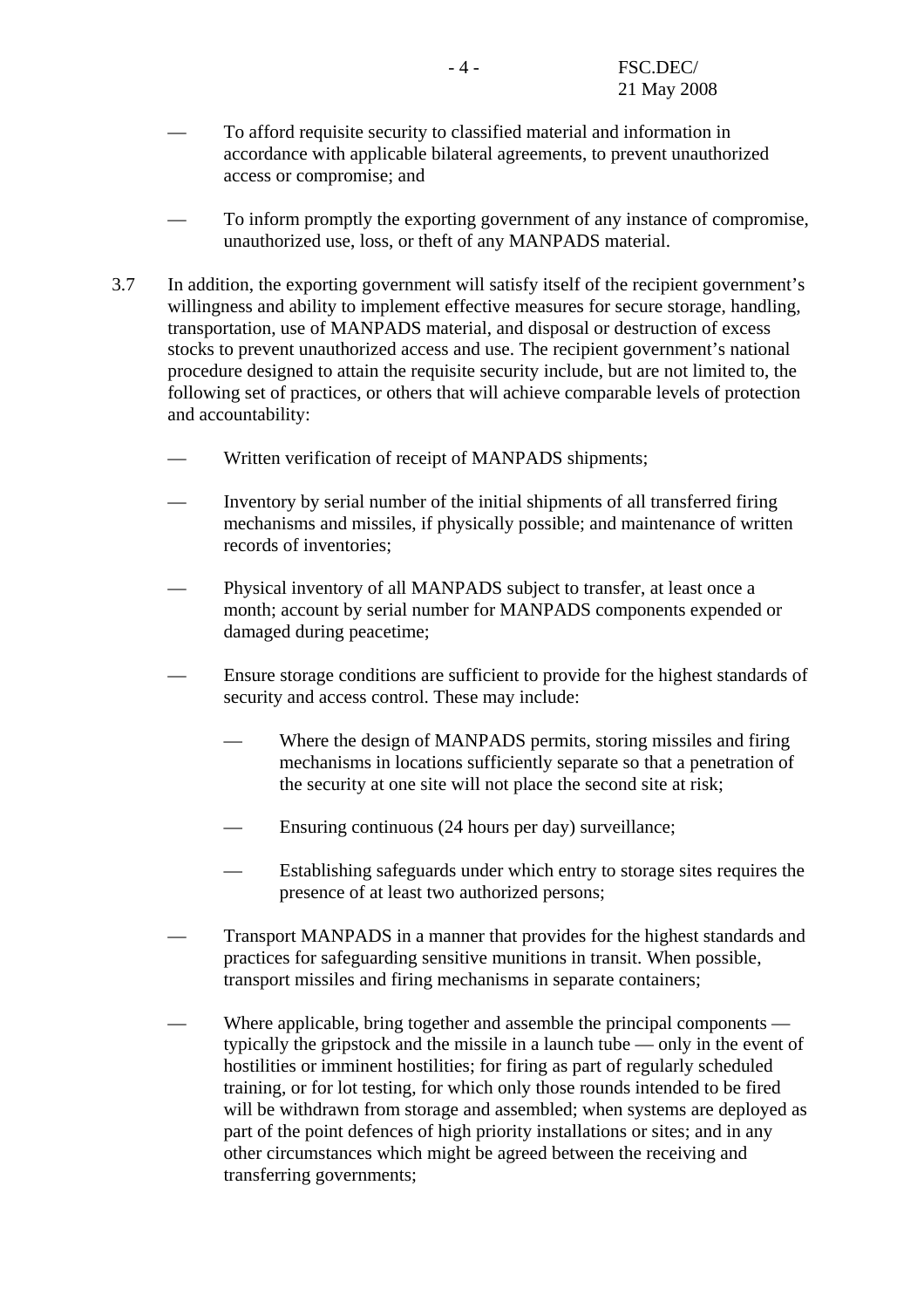- To afford requisite security to classified material and information in accordance with applicable bilateral agreements, to prevent unauthorized access or compromise; and
- To inform promptly the exporting government of any instance of compromise, unauthorized use, loss, or theft of any MANPADS material.
- 3.7 In addition, the exporting government will satisfy itself of the recipient government's willingness and ability to implement effective measures for secure storage, handling, transportation, use of MANPADS material, and disposal or destruction of excess stocks to prevent unauthorized access and use. The recipient government's national procedure designed to attain the requisite security include, but are not limited to, the following set of practices, or others that will achieve comparable levels of protection and accountability:
	- Written verification of receipt of MANPADS shipments;
	- Inventory by serial number of the initial shipments of all transferred firing mechanisms and missiles, if physically possible; and maintenance of written records of inventories;
	- Physical inventory of all MANPADS subject to transfer, at least once a month; account by serial number for MANPADS components expended or damaged during peacetime;
	- Ensure storage conditions are sufficient to provide for the highest standards of security and access control. These may include:
		- Where the design of MANPADS permits, storing missiles and firing mechanisms in locations sufficiently separate so that a penetration of the security at one site will not place the second site at risk;
		- Ensuring continuous (24 hours per day) surveillance;
		- Establishing safeguards under which entry to storage sites requires the presence of at least two authorized persons;
	- Transport MANPADS in a manner that provides for the highest standards and practices for safeguarding sensitive munitions in transit. When possible, transport missiles and firing mechanisms in separate containers;
	- Where applicable, bring together and assemble the principal components typically the gripstock and the missile in a launch tube — only in the event of hostilities or imminent hostilities; for firing as part of regularly scheduled training, or for lot testing, for which only those rounds intended to be fired will be withdrawn from storage and assembled; when systems are deployed as part of the point defences of high priority installations or sites; and in any other circumstances which might be agreed between the receiving and transferring governments;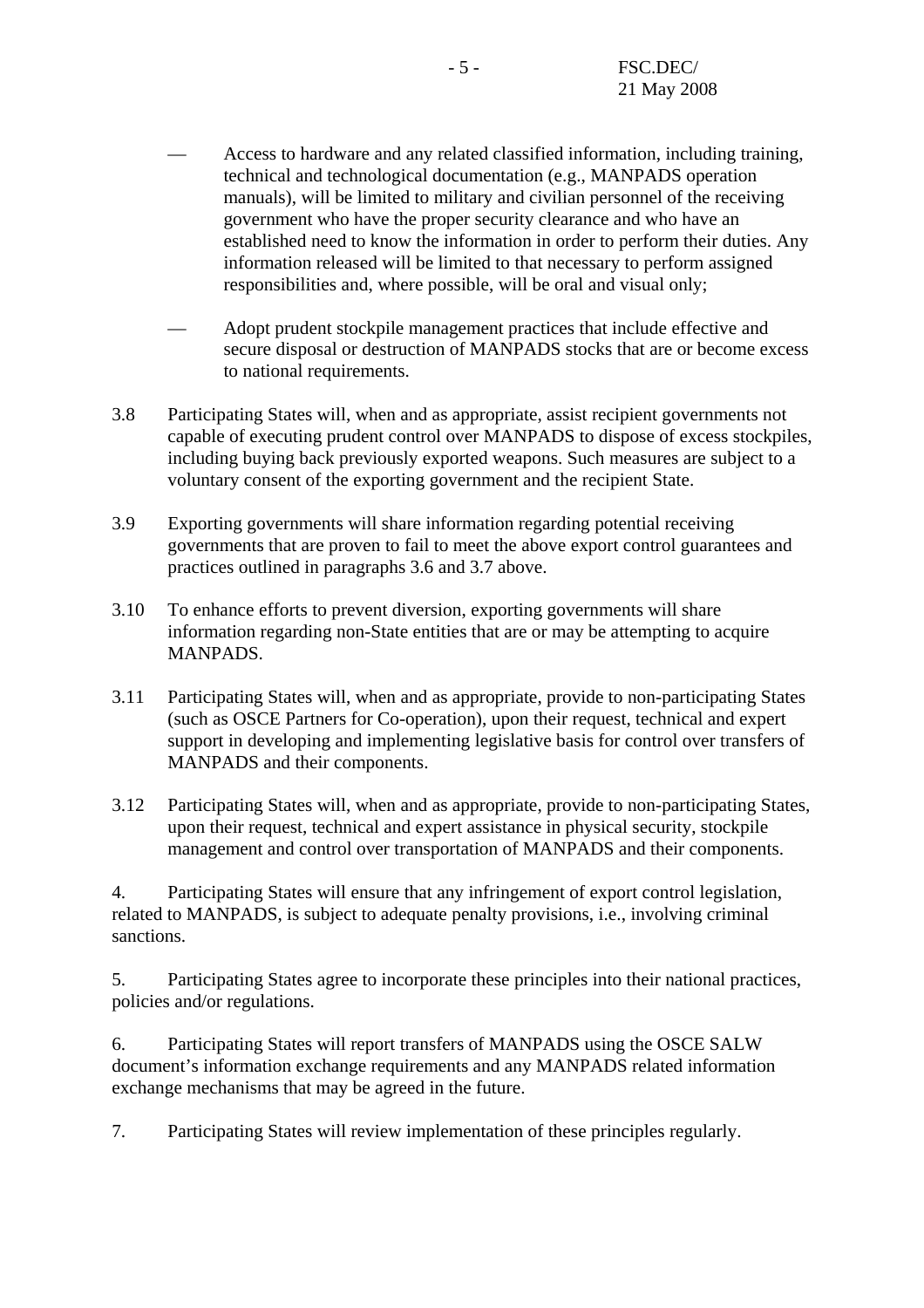- Access to hardware and any related classified information, including training, technical and technological documentation (e.g., MANPADS operation manuals), will be limited to military and civilian personnel of the receiving government who have the proper security clearance and who have an established need to know the information in order to perform their duties. Any information released will be limited to that necessary to perform assigned responsibilities and, where possible, will be oral and visual only;
- Adopt prudent stockpile management practices that include effective and secure disposal or destruction of MANPADS stocks that are or become excess to national requirements.
- 3.8 Participating States will, when and as appropriate, assist recipient governments not capable of executing prudent control over MANPADS to dispose of excess stockpiles, including buying back previously exported weapons. Such measures are subject to a voluntary consent of the exporting government and the recipient State.
- 3.9 Exporting governments will share information regarding potential receiving governments that are proven to fail to meet the above export control guarantees and practices outlined in paragraphs 3.6 and 3.7 above.
- 3.10 To enhance efforts to prevent diversion, exporting governments will share information regarding non-State entities that are or may be attempting to acquire MANPADS.
- 3.11 Participating States will, when and as appropriate, provide to non-participating States (such as OSCE Partners for Co-operation), upon their request, technical and expert support in developing and implementing legislative basis for control over transfers of MANPADS and their components.
- 3.12 Participating States will, when and as appropriate, provide to non-participating States, upon their request, technical and expert assistance in physical security, stockpile management and control over transportation of MANPADS and their components.

4. Participating States will ensure that any infringement of export control legislation, related to MANPADS, is subject to adequate penalty provisions, i.e., involving criminal sanctions.

5. Participating States agree to incorporate these principles into their national practices, policies and/or regulations.

6. Participating States will report transfers of MANPADS using the OSCE SALW document's information exchange requirements and any MANPADS related information exchange mechanisms that may be agreed in the future.

7. Participating States will review implementation of these principles regularly.